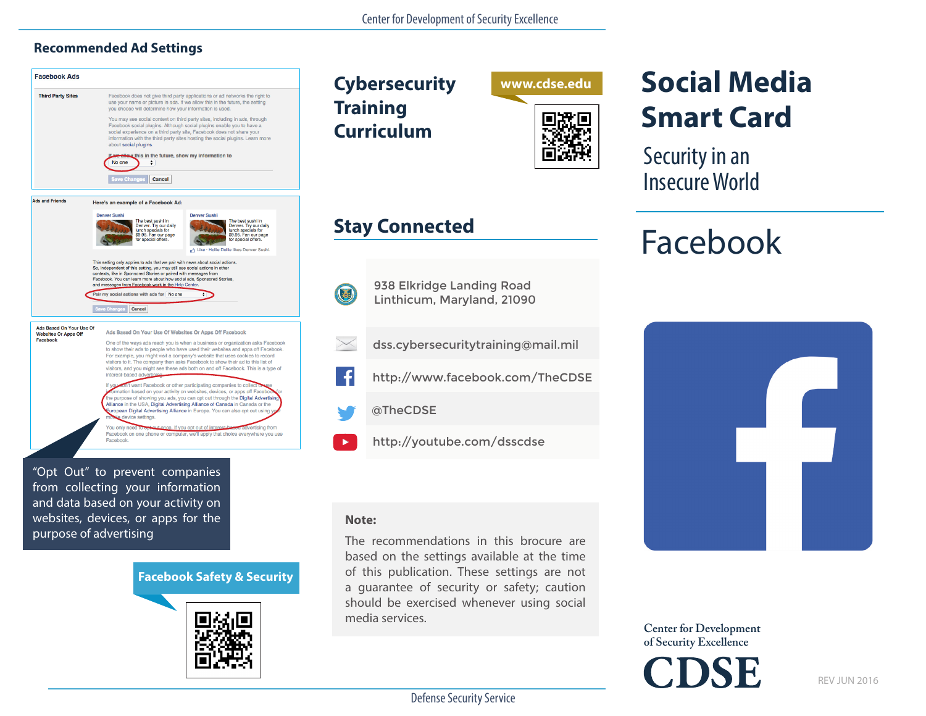#### **Recommended Ad Settings**



## **Social Media Smart Card**

Security in an Insecure World

### Facebook



**Center for Development of Security Excellence**

Defense Security Service